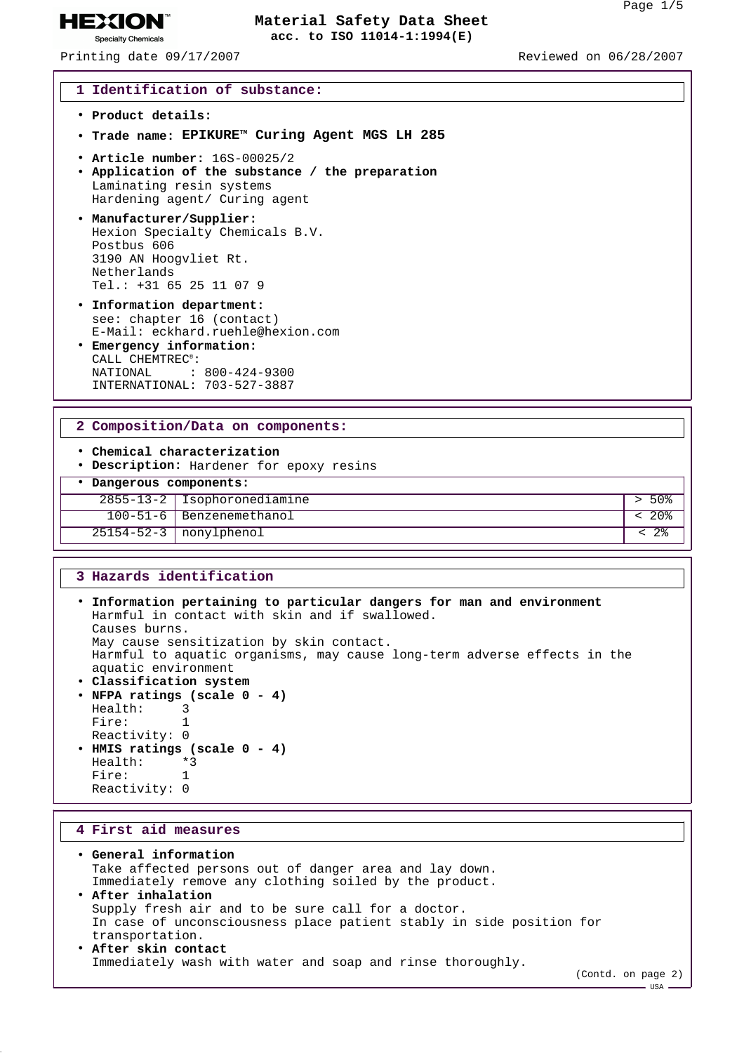Printing date 09/17/2007 Reviewed on 06/28/2007

**HEXION® Specialty Chemicals** 

#### **1 Identification of substance:**

- **Product details:**
- **Trade name: EPIKURETM Curing Agent MGS LH 285**
- **Article number:** 16S-00025/2
- **Application of the substance / the preparation** Laminating resin systems Hardening agent/ Curing agent
- **Manufacturer/Supplier:** Hexion Specialty Chemicals B.V. Postbus 606 3190 AN Hoogvliet Rt. Netherlands Tel.: +31 65 25 11 07 9
- **Information department:** see: chapter 16 (contact) E-Mail: eckhard.ruehle@hexion.com
- **Emergency information:** CALL CHEMTREC®: NATIONAL : 800-424-9300 INTERNATIONAL: 703-527-3887

#### **2 Composition/Data on components:**

- **Chemical characterization**
- **Description:** Hardener for epoxy resins
- **Dangerous components:**

| 2855-13-2   Isophoronediamine  |  |
|--------------------------------|--|
| $100 - 51 - 6$ Benzenemethanol |  |
| $25154 - 52 - 3$   nonylphenol |  |

#### **3 Hazards identification**

| . Information pertaining to particular dangers for man and environment<br>Harmful in contact with skin and if swallowed. |  |
|--------------------------------------------------------------------------------------------------------------------------|--|
| Causes burns.                                                                                                            |  |
| May cause sensitization by skin contact.                                                                                 |  |
| Harmful to aquatic organisms, may cause long-term adverse effects in the                                                 |  |
| aquatic environment                                                                                                      |  |
| • Classification system                                                                                                  |  |
| • NFPA ratings (scale $0 - 4$ )                                                                                          |  |
| Health: 3                                                                                                                |  |
| Fire:                                                                                                                    |  |
| Reactivity: 0                                                                                                            |  |
| • HMIS ratings (scale $0 - 4$ )                                                                                          |  |
|                                                                                                                          |  |

Health: \*3 Fire: 1 Reactivity: 0

#### **4 First aid measures**

- **General information** Take affected persons out of danger area and lay down. Immediately remove any clothing soiled by the product. • **After inhalation** Supply fresh air and to be sure call for a doctor. In case of unconsciousness place patient stably in side position for transportation. • **After skin contact**
	- Immediately wash with water and soap and rinse thoroughly.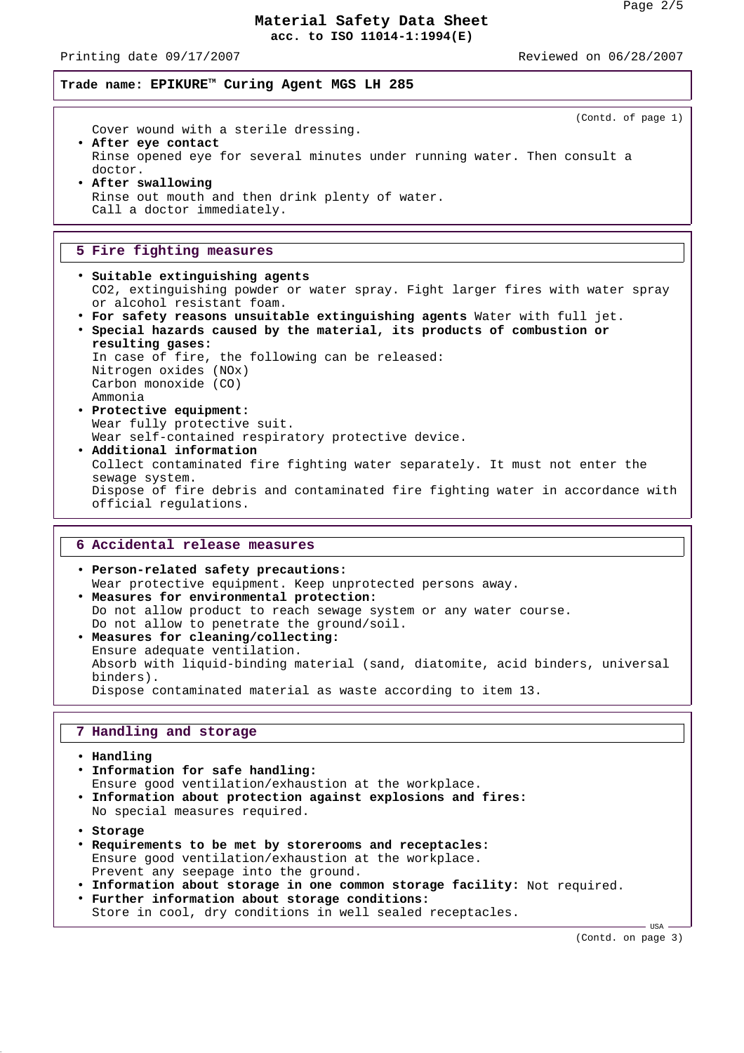Printing date 09/17/2007 Reviewed on 06/28/2007

**Trade name: EPIKURETM Curing Agent MGS LH 285**

(Contd. of page 1) Cover wound with a sterile dressing. • **After eye contact** Rinse opened eye for several minutes under running water. Then consult a doctor. • **After swallowing** Rinse out mouth and then drink plenty of water. Call a doctor immediately.

#### **5 Fire fighting measures**

- **Suitable extinguishing agents** CO2, extinguishing powder or water spray. Fight larger fires with water spray or alcohol resistant foam.
- **For safety reasons unsuitable extinguishing agents** Water with full jet. • **Special hazards caused by the material, its products of combustion or**
- **resulting gases:** In case of fire, the following can be released: Nitrogen oxides (NOx) Carbon monoxide (CO) Ammonia • **Protective equipment:** Wear fully protective suit.
- Wear self-contained respiratory protective device. • **Additional information** Collect contaminated fire fighting water separately. It must not enter the sewage system. Dispose of fire debris and contaminated fire fighting water in accordance with official regulations.

### **6 Accidental release measures**

• **Person-related safety precautions:** Wear protective equipment. Keep unprotected persons away. • **Measures for environmental protection:** Do not allow product to reach sewage system or any water course. Do not allow to penetrate the ground/soil. • **Measures for cleaning/collecting:** Ensure adequate ventilation. Absorb with liquid-binding material (sand, diatomite, acid binders, universal

Dispose contaminated material as waste according to item 13.

#### **7 Handling and storage**

• **Handling**

binders).

- **Information for safe handling:** Ensure good ventilation/exhaustion at the workplace. • **Information about protection against explosions and fires:** No special measures required. • **Storage**
- **Requirements to be met by storerooms and receptacles:** Ensure good ventilation/exhaustion at the workplace. Prevent any seepage into the ground. • **Information about storage in one common storage facility:** Not required.
- **Further information about storage conditions:**
- Store in cool, dry conditions in well sealed receptacles.

(Contd. on page 3)

- USA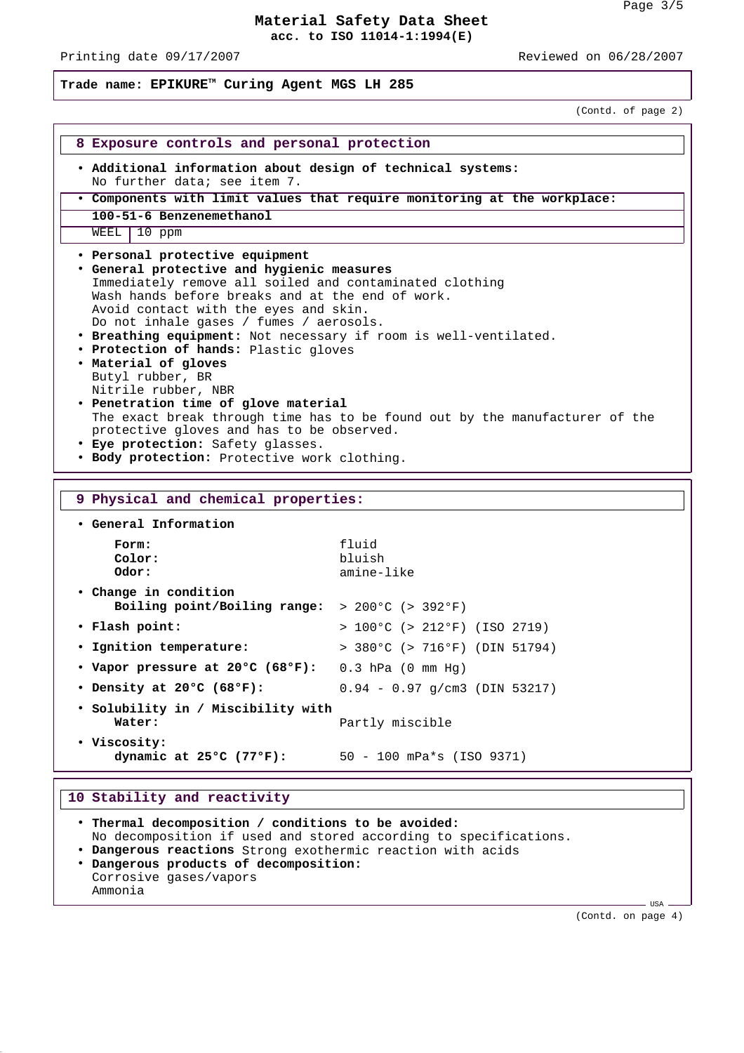Printing date 09/17/2007 Reviewed on 06/28/2007

**Trade name: EPIKURETM Curing Agent MGS LH 285**

(Contd. of page 2)

| 8 Exposure controls and personal protection                                                                                                                                                                                                                                                                                                                                                                                                                                                                                                                                                                                                                                                                               |                                                  |  |
|---------------------------------------------------------------------------------------------------------------------------------------------------------------------------------------------------------------------------------------------------------------------------------------------------------------------------------------------------------------------------------------------------------------------------------------------------------------------------------------------------------------------------------------------------------------------------------------------------------------------------------------------------------------------------------------------------------------------------|--------------------------------------------------|--|
| . Additional information about design of technical systems:<br>No further data; see item 7.                                                                                                                                                                                                                                                                                                                                                                                                                                                                                                                                                                                                                               |                                                  |  |
| . Components with limit values that require monitoring at the workplace:                                                                                                                                                                                                                                                                                                                                                                                                                                                                                                                                                                                                                                                  |                                                  |  |
| 100-51-6 Benzenemethanol                                                                                                                                                                                                                                                                                                                                                                                                                                                                                                                                                                                                                                                                                                  |                                                  |  |
| $WEEL$   10 ppm                                                                                                                                                                                                                                                                                                                                                                                                                                                                                                                                                                                                                                                                                                           |                                                  |  |
| • Personal protective equipment<br>. General protective and hygienic measures<br>Immediately remove all soiled and contaminated clothing<br>Wash hands before breaks and at the end of work.<br>Avoid contact with the eyes and skin.<br>Do not inhale gases / fumes / aerosols.<br>. Breathing equipment: Not necessary if room is well-ventilated.<br>• Protection of hands: Plastic gloves<br>. Material of gloves<br>Butyl rubber, BR<br>Nitrile rubber, NBR<br>• Penetration time of glove material<br>The exact break through time has to be found out by the manufacturer of the<br>protective gloves and has to be observed.<br>• Eye protection: Safety glasses.<br>. Body protection: Protective work clothing. |                                                  |  |
|                                                                                                                                                                                                                                                                                                                                                                                                                                                                                                                                                                                                                                                                                                                           |                                                  |  |
| 9 Physical and chemical properties:                                                                                                                                                                                                                                                                                                                                                                                                                                                                                                                                                                                                                                                                                       |                                                  |  |
| • General Information<br>Form:<br>Color:<br>Odor:                                                                                                                                                                                                                                                                                                                                                                                                                                                                                                                                                                                                                                                                         | fluid<br>bluish<br>amine-like                    |  |
| • Change in condition<br>Boiling point/Boiling range: $> 200^{\circ}$ C (> 392°F)                                                                                                                                                                                                                                                                                                                                                                                                                                                                                                                                                                                                                                         |                                                  |  |
| • Flash point:                                                                                                                                                                                                                                                                                                                                                                                                                                                                                                                                                                                                                                                                                                            | > $100^{\circ}$ C (> $212^{\circ}$ F) (ISO 2719) |  |
| · Ignition temperature:                                                                                                                                                                                                                                                                                                                                                                                                                                                                                                                                                                                                                                                                                                   | > 380°C (> 716°F) (DIN 51794)                    |  |
| • Vapor pressure at 20°C (68°F):                                                                                                                                                                                                                                                                                                                                                                                                                                                                                                                                                                                                                                                                                          | $0.3$ hPa $(0 \text{ mm Hg})$                    |  |
|                                                                                                                                                                                                                                                                                                                                                                                                                                                                                                                                                                                                                                                                                                                           | $0.94 - 0.97$ q/cm3 (DIN 53217)                  |  |
| • Density at 20°C (68°F):<br>· Solubility in / Miscibility with<br>Water:                                                                                                                                                                                                                                                                                                                                                                                                                                                                                                                                                                                                                                                 | Partly miscible                                  |  |
| · Viscosity:<br>dynamic at $25^{\circ}$ C (77°F):                                                                                                                                                                                                                                                                                                                                                                                                                                                                                                                                                                                                                                                                         | $50 - 100$ mPa*s (ISO 9371)                      |  |

• **Thermal decomposition / conditions to be avoided:** No decomposition if used and stored according to specifications. • **Dangerous reactions** Strong exothermic reaction with acids • **Dangerous products of decomposition:** Corrosive gases/vapors Ammonia

(Contd. on page 4)

 $-$  USA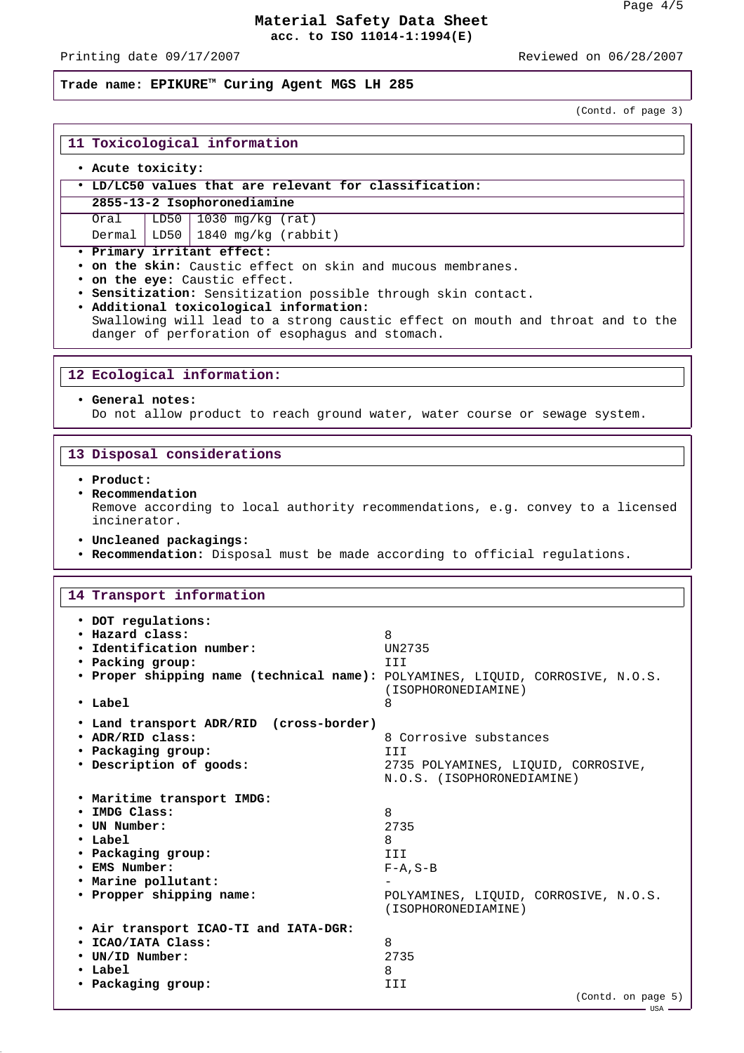- USA

### **Material Safety Data Sheet acc. to ISO 11014-1:1994(E)**

Printing date 09/17/2007 Reviewed on 06/28/2007

#### **Trade name: EPIKURETM Curing Agent MGS LH 285**

(Contd. of page 3)

# **11 Toxicological information**

### • **Acute toxicity:**

### • **LD/LC50 values that are relevant for classification:**

**2855-13-2 Isophoronediamine**

Oral LD50 1030 mg/kg (rat) Dermal LD50 1840 mg/kg (rabbit)

• **Primary irritant effect:**

• **on the skin:** Caustic effect on skin and mucous membranes.

- **on the eye:** Caustic effect.
- **Sensitization:** Sensitization possible through skin contact.

• **Additional toxicological information:** Swallowing will lead to a strong caustic effect on mouth and throat and to the danger of perforation of esophagus and stomach.

#### **12 Ecological information:**

#### • **General notes:**

Do not allow product to reach ground water, water course or sewage system.

#### **13 Disposal considerations**

• **Product:**

#### • **Recommendation**

Remove according to local authority recommendations, e.g. convey to a licensed incinerator.

- **Uncleaned packagings:**
- **Recommendation:** Disposal must be made according to official regulations.

### **14 Transport information** • **DOT regulations:** • **Hazard class:** 8 • **Identification number:** UN2735 • **Packing group:** III • **Proper shipping name (technical name):** POLYAMINES, LIQUID, CORROSIVE, N.O.S. (ISOPHORONEDIAMINE) • **Label** 8 • **Land transport ADR/RID (cross-border)** • **ADR/RID class:** 8 Corrosive substances • **Packaging group:** III • **Description of goods:** 2735 POLYAMINES, LIQUID, CORROSIVE, N.O.S. (ISOPHORONEDIAMINE) • **Maritime transport IMDG:** • **IMDG Class:** 8 • **UN Number:** 2735 • Label 8 • **Packaging group:** III • **EMS Number:** F-A,S-B • **Marine pollutant:** - • **Propper shipping name:** POLYAMINES, LIQUID, CORROSIVE, N.O.S. (ISOPHORONEDIAMINE) • **Air transport ICAO-TI and IATA-DGR:** • **ICAO/IATA Class:** 8 • **UN/ID Number:** 2735 • **Label** 8 • **Packaging group:** III (Contd. on page 5)